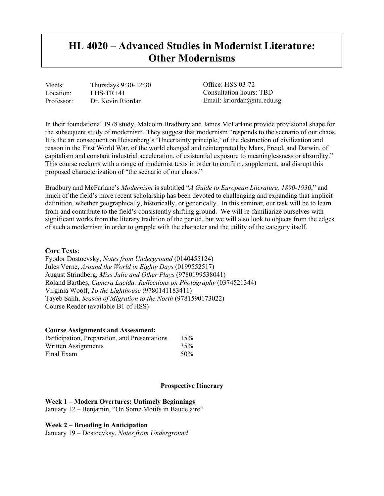# **HL 4020 – Advanced Studies in Modernist Literature: Other Modernisms**

Meets: Thursdays 9:30-12:30 Location: LHS-TR+41<br>Professor: Dr. Kevin Ri Dr. Kevin Riordan

Office: HSS 03-72 Consultation hours: TBD Email: kriordan@ntu.edu.sg

In their foundational 1978 study, Malcolm Bradbury and James McFarlane provide provisional shape for the subsequent study of modernism. They suggest that modernism "responds to the scenario of our chaos. It is the art consequent on Heisenberg's 'Uncertainty principle,' of the destruction of civilization and reason in the First World War, of the world changed and reinterpreted by Marx, Freud, and Darwin, of capitalism and constant industrial acceleration, of existential exposure to meaninglessness or absurdity." This course reckons with a range of modernist texts in order to confirm, supplement, and disrupt this proposed characterization of "the scenario of our chaos."

Bradbury and McFarlane's *Modernism* is subtitled "*A Guide to European Literature, 1890-1930*," and much of the field's more recent scholarship has been devoted to challenging and expanding that implicit definition, whether geographically, historically, or generically. In this seminar, our task will be to learn from and contribute to the field's consistently shifting ground. We will re-familiarize ourselves with significant works from the literary tradition of the period, but we will also look to objects from the edges of such a modernism in order to grapple with the character and the utility of the category itself.

#### **Core Texts**:

Fyodor Dostoevsky, *Notes from Underground* (0140455124) Jules Verne, *Around the World in Eighty Days* (0199552517) August Strindberg, *Miss Julie and Other Plays* (9780199538041) Roland Barthes, *Camera Lucida: Reflections on Photography* (0374521344) Virginia Woolf, *To the Lighthouse* (9780141183411) Tayeb Salih, *Season of Migration to the North* (9781590173022) Course Reader (available B1 of HSS)

#### **Course Assignments and Assessment:**

| Participation, Preparation, and Presentations<br>Written Assignments<br>Final Exam | 15%<br>35%<br>50% |
|------------------------------------------------------------------------------------|-------------------|
|------------------------------------------------------------------------------------|-------------------|

### **Prospective Itinerary**

#### **Week 1 – Modern Overtures: Untimely Beginnings**

January 12 – Benjamin, "On Some Motifs in Baudelaire"

#### **Week 2 – Brooding in Anticipation**

January 19 – Dostoevksy, *Notes from Underground*